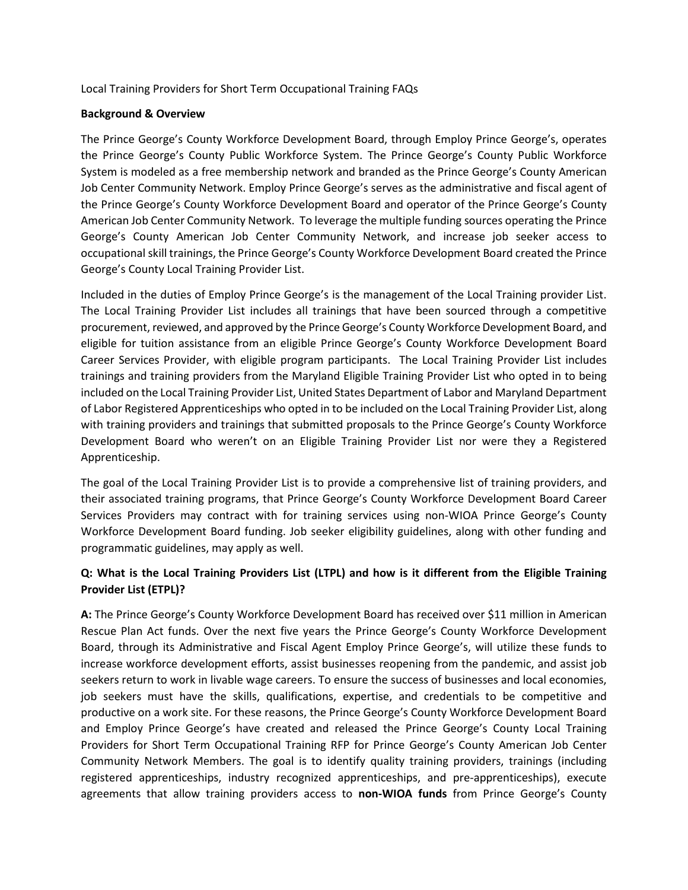Local Training Providers for Short Term Occupational Training FAQs

### **Background & Overview**

The Prince George's County Workforce Development Board, through Employ Prince George's, operates the Prince George's County Public Workforce System. The Prince George's County Public Workforce System is modeled as a free membership network and branded as the Prince George's County American Job Center Community Network. Employ Prince George's serves as the administrative and fiscal agent of the Prince George's County Workforce Development Board and operator of the Prince George's County American Job Center Community Network. To leverage the multiple funding sources operating the Prince George's County American Job Center Community Network, and increase job seeker access to occupational skill trainings, the Prince George's County Workforce Development Board created the Prince George's County Local Training Provider List.

Included in the duties of Employ Prince George's is the management of the Local Training provider List. The Local Training Provider List includes all trainings that have been sourced through a competitive procurement, reviewed, and approved by the Prince George's County Workforce Development Board, and eligible for tuition assistance from an eligible Prince George's County Workforce Development Board Career Services Provider, with eligible program participants. The Local Training Provider List includes trainings and training providers from the Maryland Eligible Training Provider List who opted in to being included on the Local Training Provider List, United States Department of Labor and Maryland Department of Labor Registered Apprenticeships who opted in to be included on the Local Training Provider List, along with training providers and trainings that submitted proposals to the Prince George's County Workforce Development Board who weren't on an Eligible Training Provider List nor were they a Registered Apprenticeship.

The goal of the Local Training Provider List is to provide a comprehensive list of training providers, and their associated training programs, that Prince George's County Workforce Development Board Career Services Providers may contract with for training services using non-WIOA Prince George's County Workforce Development Board funding. Job seeker eligibility guidelines, along with other funding and programmatic guidelines, may apply as well.

## **Q: What is the Local Training Providers List (LTPL) and how is it different from the Eligible Training Provider List (ETPL)?**

**A:** The Prince George's County Workforce Development Board has received over \$11 million in American Rescue Plan Act funds. Over the next five years the Prince George's County Workforce Development Board, through its Administrative and Fiscal Agent Employ Prince George's, will utilize these funds to increase workforce development efforts, assist businesses reopening from the pandemic, and assist job seekers return to work in livable wage careers. To ensure the success of businesses and local economies, job seekers must have the skills, qualifications, expertise, and credentials to be competitive and productive on a work site. For these reasons, the Prince George's County Workforce Development Board and Employ Prince George's have created and released the Prince George's County Local Training Providers for Short Term Occupational Training RFP for Prince George's County American Job Center Community Network Members. The goal is to identify quality training providers, trainings (including registered apprenticeships, industry recognized apprenticeships, and pre-apprenticeships), execute agreements that allow training providers access to **non-WIOA funds** from Prince George's County